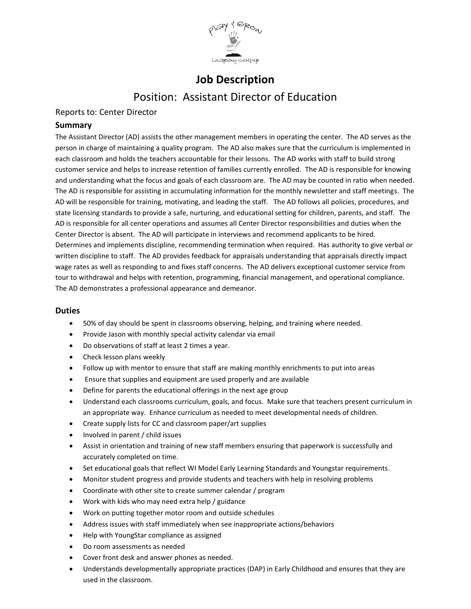

# **Job Description** Position: Assistant Director of Education

# Reports to: Center Director

## **Summary**

The Assistant Director (AD) assists the other management members in operating the center. The AD serves as the person in charge of maintaining a quality program. The AD also makes sure that the curriculum is implemented in each classroom and holds the teachers accountable for their lessons. The AD works with staff to build strong customer service and helps to increase retention of families currently enrolled. The AD is responsible for knowing and understanding what the focus and goals of each classroom are. The AD may be counted in ratio when needed. The AD is responsible for assisting in accumulating information for the monthly newsletter and staff meetings. The AD will be responsible for training, motivating, and leading the staff. The AD follows all policies, procedures, and state licensing standards to provide a safe, nurturing, and educational setting for children, parents, and staff. The AD is responsible for all center operations and assumes all Center Director responsibilities and duties when the Center Director is absent. The AD will participate in interviews and recommend applicants to be hired. Determines and implements discipline, recommending termination when required. Has authority to give verbal or written discipline to staff. The AD provides feedback for appraisals understanding that appraisals directly impact wage rates as well as responding to and fixes staff concerns. The AD delivers exceptional customer service from tour to withdrawal and helps with retention, programming, financial management, and operational compliance. The AD demonstrates a professional appearance and demeanor.

## **Duties**

- 50% of day should be spent in classrooms observing, helping, and training where needed.
- Provide Jason with monthly special activity calendar via email
- Do observations of staff at least 2 times a year.
- Check lesson plans weekly
- Follow up with mentor to ensure that staff are making monthly enrichments to put into areas
- Ensure that supplies and equipment are used properly and are available
- Define for parents the educational offerings in the next age group
- Understand each classrooms curriculum, goals, and focus. Make sure that teachers present curriculum in an appropriate way. Enhance curriculum as needed to meet developmental needs of children.
- Create supply lists for CC and classroom paper/art supplies
- Involved in parent / child issues
- Assist in orientation and training of new staff members ensuring that paperwork is successfully and accurately completed on time.
- Set educational goals that reflect WI Model Early Learning Standards and Youngstar requirements.
- Monitor student progress and provide students and teachers with help in resolving problems
- Coordinate with other site to create summer calendar / program
- Work with kids who may need extra help / guidance
- Work on putting together motor room and outside schedules
- Address issues with staff immediately when see inappropriate actions/behaviors
- Help with YoungStar compliance as assigned
- Do room assessments as needed
- Cover front desk and answer phones as needed.
- Understands developmentally appropriate practices (DAP) in Early Childhood and ensures that they are used in the classroom.